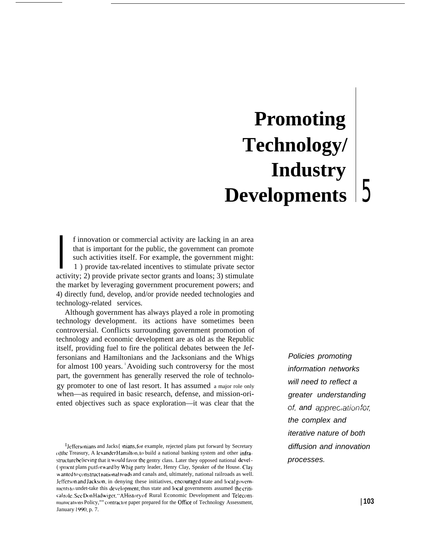# **Promoting Technology/ Industry Developments** 5

that is important for the public, the government can promote<br>such activities itself. For example, the government might:<br>1) provide tax-related incentives to stimulate private sector<br>activity; 2) provide private sector gran f innovation or commercial activity are lacking in an area that is important for the public, the government can promote such activities itself. For example, the government might: 1 ) provide tax-related incentives to stimulate private sector the market by leveraging government procurement powers; and 4) directly fund, develop, and/or provide needed technologies and technology-related services.

Although government has always played a role in promoting technology development. its actions have sometimes been controversial. Conflicts surrounding government promotion of technology and economic development are as old as the Republic itself, providing fuel to fire the political debates between the Jeffersonians and Hamiltonians and the Jacksonians and the Whigs for almost 100 years. <sup>1</sup>Avoiding such controversy for the most part, the government has generally reserved the role of technology promoter to one of last resort. It has assumed a major role only when—as required in basic research, defense, and mission-oriented objectives such as space exploration—it was clear that the

Policies promoting information networks will need to reflect a greater understanding of, and appreclation for, the complex and iterative nature of both diffusion and innovation processes.

<sup>&</sup>lt;sup>1</sup> Jeffersonians and Jacks{ mians, for example, rejected plans put forward by Secretary of the Treasury, A lexander Hamilton, to build a national banking system and other infrastructure believing that it would favor the gentry class. Later they opposed national devel-( jpmcnt plans put forward by Whig party leader, Henry Clay, Speaker of the House. Clay w anted to construct national roads and canals and, ultimately, national railroads as well. Jefferson and Jackson, in denying these initiatives, encouraged state and local governments to undet-take this development; thus state and local governments assumed the criticalrole. See Don Hadwiger, "A History of Rural Economic Development and Telecommunications Policy,"" contractor paper prepared for the Office of Technology Assessment, January 1990, p. 7.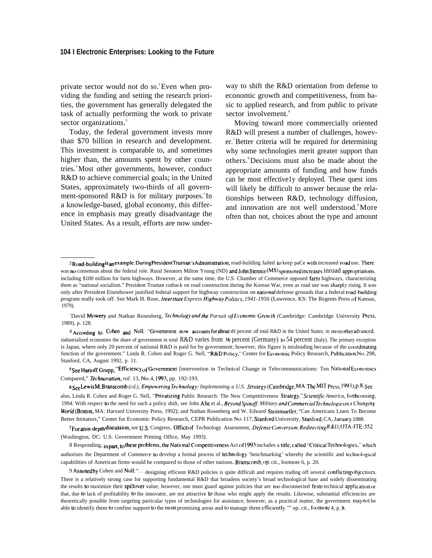private sector would not do so.<sup>2</sup> Even when providing the funding and setting the research priorities, the government has generally delegated the task of actually performing the work to private sector organizations.<sup>3</sup>

Today, the federal government invests more than \$70 billion in research and development. This investment is comparable to, and sometimes higher than, the amounts spent by other countries. <sup>4</sup>Most other governments, however, conduct R&D to achieve commercial goals; in the United States, approximately two-thirds of all government-sponsored R&D is for military purposes. In a knowledge-based, global economy, this difference in emphasis may greatly disadvantage the United States. As a result, efforts are now under-

way to shift the R&D orientation from defense to economic growth and competitiveness, from basic to applied research, and from public to private sector involvement.<sup>6</sup>

Moving toward more commercially oriented R&D will present a number of challenges, however. <sup>7</sup>Better criteria will be required for determining why some technologies merit greater support than others.<sup>8</sup>Decisions must also be made about the appropriate amounts of funding and how funds can be most effective1y deployed. These quest ions will likely be difficult to answer because the relationships between R&D, technology diffusion, and innovation are not well understood.<sup>9</sup>More often than not, choices about the type and amount

<sup>3</sup>David Mowery and Nathan Rosenberg, *Technology and the Pursuit of Economic Growth* (Cambridge: Cambridge University Press, 1989), p. 128.

4 According to Cohen and Noll: "Government now accounts for about 45 percent of total R&D in the United States; in most other advanced, industrialized economies the share of government in total R&D varies from 36 percent (Germany) to 54 percent (Italy). The primary exception is Japan, where only 20 percent of national R&D is paid for by government; however, this figure is misleading because of the coordinating function of the government." Linda R. Cohen and Roger G. Nell, "R&D Policy," Center for Economic Policy Research, Publication No. 298, Stanford, CA, August 1992, p. 11.

 $5$  See Harioff Grupp, "Efficiency of Government [intervention in Technical Change in Telecommunications: Ten National Economics Compared," *Technovation, vol.* 13, No. 4, 1993, pp. 192-193.

6<sub>See</sub> Lewis M. Branscomb (cd.), *Empowering Technology: Implementing a U.S. Strategy* (Cambridge, MA: The MIT Press, 1993), p. 8. See also, Linda R. Cohen and Roger G. Nell, "Privatizing Public Research: The New Competitiveness Strategy," Scientific America, forthcoming, 1994. With respect to the need for such a policy shift, see John Alic et al., Beyond Spinoff: Military and Commercial Technologies in a Changing World (Boston, MA: Harvard University Press, 1992); and Nathan Rosenberg and W. Edward Steinmueller, "Can Americans Learn To Become Better Imitators," Center for Economic Policy Research, CEPR Publication No. 117, Stanford University, Stanford, CA, January 1988.

7 For an in-depth discussion, see U.S. Congress, Office of Technology Assessment, *Defense Conversion: Redirecting R&D*, OTA-ITE-552 (Washington, DC: U.S. Government Printing Office, May 1993).

8 Responding, in part, to these problems, the National Competitiveness Act of 1993 includes a title, called "Critical Technologies," which authorizes the Department of Commerce to develop a formal process of technology 'benchmarking' whereby the scientific and technological capabilities of American firms would be compared to those of other nations. Branscomb, op. cit., footnote 6, p. 20.

<sup>2</sup> Road-building is an example. During President Truman's Administration, road-building failed to keep paCe with increased road use. There was no consensus about the federal role. Rural Senators Milton Young (ND) and John Stennis (MS) sponsored increases inroad appropriations, including \$100 million for farm highways. However, at the same time, the U.S. Chamber of Commerce opposed faml highways, characterizing them as "national socialism." President Truman cutback on road construction during the Korean War, even as road use was sharply rising. It was only after President Eisenhower justified federal support for highway construction on national defense grounds that a federal road-building program really took off. See Mark H. Rose, *Imerstate Express Highway Po/itics, 1941-1956* (Lawrence, KS: The Regents Press of Kansas, 1979).

<sup>9</sup> Asnoted by Cohen and Noll: ".. designing efficient R&D policies is quite difficult and requires trading off several conflicting objectives. There is a relatively strong case for supporting fundamental R&D that broadens society's broad technological base and widely disseminating the results to maximize their spillover value; however, one must guard against policies that are too disconnected from technical application or that, due to lack of profitability to the innovator, are not attractive to those who might apply the results. Likewise, substantial efficiencies are theoretically possible from targeting particular types of technologies for assistance; however, as a practical matter, the government may not be able to identify them to confine support to the most promising areas and to manage them efficiently." op. cit., footnote 4, p. 8.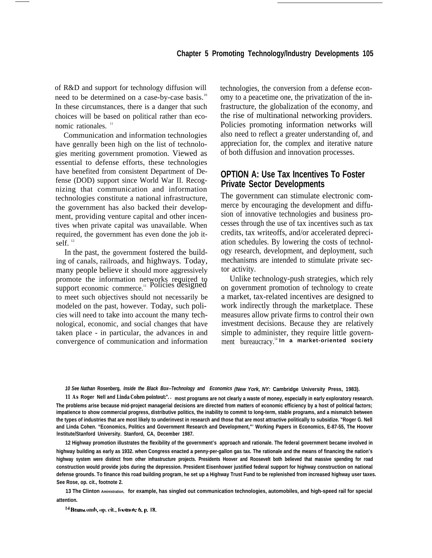of R&D and support for technology diffusion will need to be determined on a case-by-case basis.<sup>10</sup> In these circumstances, there is a danger that such choices will be based on political rather than economic rationales.<sup>11</sup>

Communication and information technologies have genrally been high on the list of technologies meriting government promotion. Viewed as essential to defense efforts, these technologies have benefited from consistent Department of Defense (DOD) support since World War II. Recognizing that communication and information technologies constitute a national infrastructure, the government has also backed their development, providing venture capital and other incentives when private capital was unavailable. When required, the government has even done the job itself. $12$ 

In the past, the government fostered the building of canals, railroads, and highways. Today, many people believe it should more aggressively promote the information networks required to support economic commerce.<sup>13</sup> Policies designed to meet such objectives should not necessarily be modeled on the past, however. Today, such policies will need to take into account the many technological, economic, and social changes that have taken place - in particular, the advances in and convergence of communication and information technologies, the conversion from a defense economy to a peacetime one, the privatization of the infrastructure, the globalization of the economy, and the rise of multinational networking providers. Policies promoting information networks will also need to reflect a greater understanding of, and appreciation for, the complex and iterative nature of both diffusion and innovation processes.

## **OPTION A: Use Tax Incentives To Foster Private Sector Developments**

The government can stimulate electronic commerce by encouraging the development and diffusion of innovative technologies and business processes through the use of tax incentives such as tax credits, tax writeoffs, and/or accelerated depreciation schedules. By lowering the costs of technology research, development, and deployment, such mechanisms are intended to stimulate private sector activity.

Unlike technology-push strategies, which rely on government promotion of technology to create a market, tax-related incentives are designed to work indirectly through the marketplace. These measures allow private firms to control their own investment decisions. Because they are relatively simple to administer, they require little government bureaucracy.<sup>14</sup> In a market-oriented society

**10 See Nathan Rosenberg, Inside the Black Box--Technology and Economics (New York, NY: Cambridge University Press, 1983).**

**11 As Roger Nell and Linda Cohen pointout:". . most programs are not clearly a waste of money, especially in early exploratory research. The problems arise because mid-project managerial decisions are directed from matters of economic efficiency by a host of political factors; impatience to show commercial progress, distributive politics, the inability to commit to long-term, stable programs, and a mismatch between the types of industries that are most likely to underinvest in research and those that are most attractive politically to subsidize. "Roger G. Nell and Linda Cohen. "Economics, Politics and Government Research and Development,"' Working Papers in Economics, E-87-55, The Hoover lnstitute/Stanford University. Stanford, CA, December 1987.**

**12 Highway promotion illustrates the flexibility of the government's approach and rationale. The federal government became involved in highway building as early as 1932. when Congress enacted a penny-per-gallon gas tax. The rationale and the means of financing the nation's highway system were distinct from other infrastructure projects. Presidents Hoover and Roosevelt both believed that massive spending for road construction would provide jobs during the depression. President Eisenhower justified federal support for highway construction on national defense grounds. To finance this road building program, he set up a Highway Trust Fund to be replenished from increased highway user taxes. See Rose, op. cit., footnote 2.**

**13 The Clinton Aministration, for example, has singled out communication technologies, automobiles, and high-speed rail for special attention.**

<sup>14</sup> Branscomb, op. cit., footnote 6, p. 18.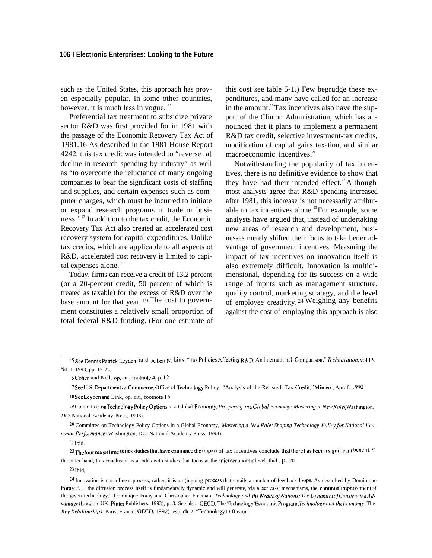such as the United States, this approach has proven especially popular. In some other countries, however, it is much less in vogue.<sup>15</sup>

Preferential tax treatment to subsidize private sector R&D was first provided for in 1981 with the passage of the Economic Recovery Tax Act of 1981.16 As described in the 1981 House Report 4242, this tax credit was intended to "reverse [a] decline in research spending by industry" as well as "to overcome the reluctance of many ongoing companies to bear the significant costs of staffing and supplies, and certain expenses such as computer charges, which must be incurred to initiate or expand research programs in trade or business." <sup>17</sup> In addition to the tax credit, the Economic Recovery Tax Act also created an accelerated cost recovery system for capital expenditures. Unlike tax credits, which are applicable to all aspects of R&D, accelerated cost recovery is limited to capital expenses alone.<sup>18</sup>

Today, firms can receive a credit of 13.2 percent (or a 20-percent credit, 50 percent of which is treated as taxable) for the excess of R&D over the base amount for that year. <sup>19</sup>The cost to government constitutes a relatively small proportion of total federal R&D funding. (For one estimate of this cost see table 5-1.) Few begrudge these expenditures, and many have called for an increase in the amount.<sup>20</sup> Tax incentives also have the support of the Clinton Administration, which has announced that it plans to implement a permanent R&D tax credit, selective investment-tax credits, modification of capital gains taxation, and similar macroeconomic incentives.<sup>21</sup>

Notwithstanding the popularity of tax incentives, there is no definitive evidence to show that they have had their intended effect.<sup>22</sup> Although most analysts agree that R&D spending increased after 1981, this increase is not necessarily attributable to tax incentives alone.<sup>23</sup> For example, some analysts have argued that, instead of undertaking new areas of research and development, businesses merely shifted their focus to take better advantage of government incentives. Measuring the impact of tax incentives on innovation itself is also extremely difficult. Innovation is multidimensional, depending for its success on a wide range of inputs such as management structure, quality control, marketing strategy, and the level of employee creativity. <sup>24</sup>Weighing any benefits against the cost of employing this approach is also

<sup>20</sup> Committee on Technology Policy Options in a Global Economy, *Mastering a New Role: Shaping Technology Policy for National Economic Performance* (Washington, DC: National Academy Press, 1993).

2 1 Ibid.

22 The four major time series studies that have examined the impact of tax incentives conclude that there has been a significant benefit. " the other hand, this conclusion is at odds with studies that focus at the microeconomic level. Ibid., p. 20.

 $23$  Ibid

<sup>&</sup>lt;sup>15</sup> See Dennis Patrick Leyden and Albert N. Link, "Tax Policies Affecting R&D: An International Comparison," *Technovation*, vol.13, No. 1, 1993, pp. 17-25.

<sup>16</sup> Cohen and Nell, op. cit., footnote 4, p. 12.

<sup>17</sup> See U.S. Department of Commerce, Office of Technology Policy, "Analysis of the Research Tax Credit," Mimeo., Apr. 6, 1990. 18 See Leyden and Link, op. cit., footnote 15.

<sup>19</sup> Committee on Technology Policy Options in a Global Economy, Prospering inaGlobal Economy: Mastering a New Role (Washington, *DC:* National Academy Press, 1993).

<sup>24</sup> Innovation is not a linear process; rather, it is an (ingoing process that entails a number of feedback loops. As described by Dominique Foray: "... the diffusion process itself is fundamentally dynamic and will generate, via a series of mechanisms, the continual improvement of the given technology." Dominique Foray and Christopher Freeman, *Technology and the Wealthof Nations: The Dynamics of Constructed Ad*vantage(London, UK. Pinter Publishers, 1993), p. 3. See also, OECD, The Technology/Economic Program, *Technology and the Economy*: The *Key Re/alionshlps* (Paris, France: OECD, 1992). esp. ch. 2, '"Technology Diffusion."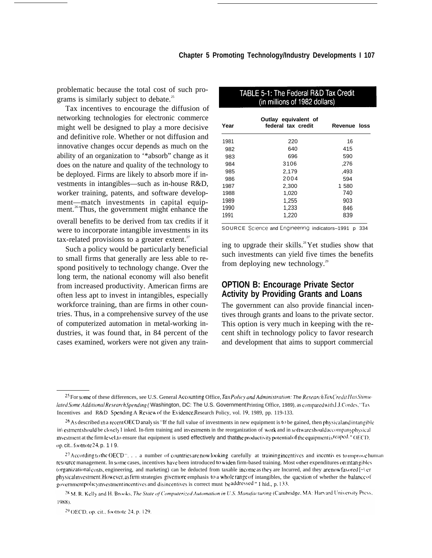problematic because the total cost of such programs is similarly subject to debate.<sup>25</sup>

Tax incentives to encourage the diffusion of networking technologies for electronic commerce might well be designed to play a more decisive and definitive role. Whether or not diffusion and innovative changes occur depends as much on the ability of an organization to '\*absorb" change as it does on the nature and quality of the technology to be deployed. Firms are likely to absorb more if investments in intangibles—such as in-house R&D, worker training, patents, and software development—match investments in capital equipment.<sup>26</sup>Thus, the government might enhance the overall benefits to be derived from tax credits if it were to incorporate intangible investments in its tax-related provisions to a greater extent. $27$ 

Such a policy would be particularly beneficial to small firms that generally are less able to respond positively to technology change. Over the long term, the national economy will also benefit from increased productivity. American firms are often less apt to invest in intangibles, especially workforce training, than are firms in other countries. Thus, in a comprehensive survey of the use of computerized automation in metal-working industries, it was found that, in 84 percent of the cases examined, workers were not given any train-

| Year | Outlay equivalent of<br>federal tax credit | Revenue loss |
|------|--------------------------------------------|--------------|
| 1981 | 220                                        | 16           |
| 982  | 640                                        | 415          |
| 983  | 696                                        | 590          |
| 984  | 3106                                       | ,276         |
| 985  | 2,179                                      | .493         |
| 986  | 2004                                       | 594          |
| 1987 | 2,300                                      | 1 580        |
| 1988 | 1,020                                      | 740          |
| 1989 | 1,255                                      | 903          |
| 1990 | 1,233                                      | 846          |
| 1991 | 1,220                                      | 839          |

TARLE 5-1: The Federal R&D Tay Credit

SOURCE Science and Engineering indicators-1991 p 334

ing to upgrade their skills.<sup>28</sup> Yet studies show that such investments can yield five times the benefits from deploying new technology.<sup>29</sup>

## **OPTION B: Encourage Private Sector Activity by Providing Grants and Loans**

The government can also provide financial incentives through grants and loans to the private sector. This option is very much in keeping with the recent shift in technology policy to favor research and development that aims to support commercial

<sup>&</sup>lt;sup>25</sup> For some of these differences, see U.S. General Accounting Office, *Tax Policy and Administration: The Research Tax Credit Has Stimu*lated Some Additional Research Spending (Washington, DC: The U.S. Government Printing Office, 1989), as compared with J.J. Cordes, "Tax Incentives and R&D Spending A Review of the Evidence, Research Policy, vol. 19, 1989, pp. 119-133.

 $^{26}$ As described in a recent OECD analysis "If the full value of investments in new equipment is to be gained, then physical and intangible in\ estment should be closely I inked. In-firm training and investments in the reorganization of work and in software should accompany physical investment at the firm level, to ensure that equipment is used effectively and that the productivity potential of the equipment is reaped." OECD, op. cit.. footnote  $24$ , p.  $119$ .

<sup>&</sup>lt;sup>27</sup> According to the OECD " $\ldots$  a number of countries are now looking carefully at training incentives and incentives to mprove human: resource management. In some cases, incentives have been introduced to widen firm-based training. Most other expenditures on intangibles (organizational costs, engineering, and marketing) can be deducted from taxable income as they are Incurred, and they are now favored  $[\sim]$  er physical investment. However, as firm strategies give more emphasis to a whole range of intangibles, the question of whether the balance of government policy investment incentives and disincentives is correct must be addressed." I hid., p. 133.

<sup>&</sup>lt;sup>28</sup> M. R. Kelly and H. Brooks, The State of Computerized Automation in U.S. Manufacturing (Cambridge, MA: Harvard University Press, 1988).

<sup>&</sup>lt;sup>29</sup> OECD, op. cit., footnote 24, p. 129.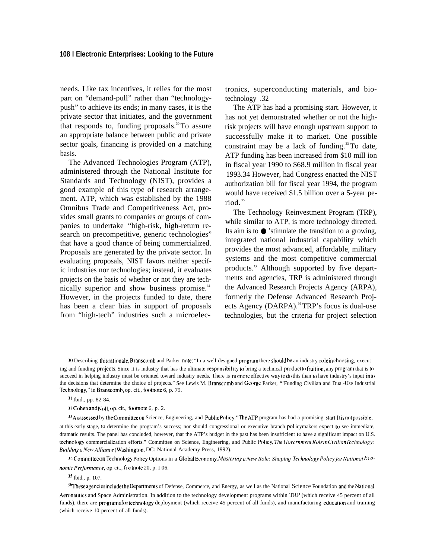needs. Like tax incentives, it relies for the most part on "demand-pull" rather than "technologypush" to achieve its ends; in many cases, it is the private sector that initiates, and the government that responds to, funding proposals.<sup>30</sup>To assure an appropriate balance between public and private sector goals, financing is provided on a matching basis.

The Advanced Technologies Program (ATP), administered through the National Institute for Standards and Technology (NIST), provides a good example of this type of research arrangement. ATP, which was established by the 1988 Omnibus Trade and Competitiveness Act, provides small grants to companies or groups of companies to undertake "high-risk, high-return research on precompetitive, generic technologies" that have a good chance of being commercialized. Proposals are generated by the private sector. In evaluating proposals, NIST favors neither specific industries nor technologies; instead, it evaluates projects on the basis of whether or not they are technically superior and show business promise.<sup>31</sup> However, in the projects funded to date, there has been a clear bias in support of proposals from "high-tech" industries such a microelectronics, superconducting materials, and biotechnology .32

The ATP has had a promising start. However, it has not yet demonstrated whether or not the highrisk projects will have enough upstream support to successfully make it to market. One possible constraint may be a lack of funding.<sup>33</sup>To date, ATP funding has been increased from \$10 mill ion in fiscal year 1990 to \$68.9 million in fiscal year 1993.34 However, had Congress enacted the NIST authorization bill for fiscal year 1994, the program would have received \$1.5 billion over a 5-year period. <sup>35</sup>

The Technology Reinvestment Program (TRP), while similar to ATP, is more technology directed. Its aim is to  $\bullet$  'stimulate the transition to a growing, integrated national industrial capability which provides the most advanced, affordable, military systems and the most competitive commercial products." Although supported by five departments and agencies, TRP is administered through the Advanced Research Projects Agency (ARPA), formerly the Defense Advanced Research Projects Agency (DARPA).<sup>36</sup>TRP's focus is dual-use technologies, but the criteria for project selection

<sup>30</sup> Describing this rationale, Branscomb and Parker note: "In a well-designed program there should be an industry role inchoosing, executing and funding projects. Since it is industry that has the ultimate responsibility to bring a technical product to fruition, any program that is to succeed in helping industry must be oriented toward industry needs. There is no more effective way to do this than to have industry's input into the decisions that determine the choice of projects." See Lewis M. Branscomb and George Parker, "Funding Civilian and Dual-Use Industrial Technology," in Branscomb, op. cit., footnote 6, p. 79.

<sup>31</sup> Ibid., pp. 82-84.

<sup>32</sup> Cohen and *NoI1,* op. cit., footnote 6, p. 2.

<sup>&</sup>lt;sup>33</sup>As assessed by the Committee on Science, Engineering, and Public Policy: "The ATP program has had a promising start. It isnot possible,

at this early stage, to determine the program's success; nor should congressional or executive branch pol icymakers expect to see immediate, dramatic results. The panel has concluded, however, that the ATP's budget in the past has been insufficient to have a significant impact on U.S. technology commercialization efforts." Committee on Science, Engineering, and Public Policy, *The Government Role in Civilian Technology*: *Building a New Alliance* (Washington, DC: National Academy Press, 1992).

*<sup>34</sup>* Committee on Technology Policy Options in a Global Economy, *Mastering a New Role: Shaping Technology Policy for National Economic Performance*, op. cit., footnote 20, p. I 06.

<sup>35</sup> Ibid., p. 107.

<sup>&</sup>lt;sup>36</sup>These agencies include the Departments of Defense, Commerce, and Energy, as well as the National Science Foundation and the National Aeronautics and Space Administration. In addition to the technology development programs within TRP (which receive 45 percent of all funds), there are programs for technology deployment (which receive 45 percent of all funds), and manufacturing education and training (which receive 10 percent of all funds).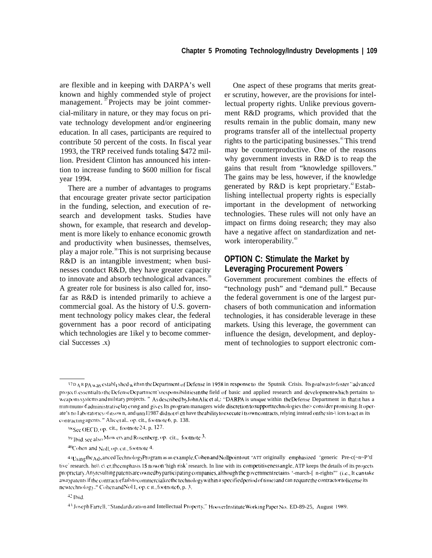are flexible and in keeping with DARPA's well known and highly commended style of project management.<sup>37</sup>Projects may be joint commercial-military in nature, or they may focus on private technology development and/or engineering education. In all cases, participants are required to contribute 50 percent of the costs. In fiscal year 1993, the TRP received funds totaling \$472 million. President Clinton has announced his intention to increase funding to \$600 million for fiscal year 1994.

There are a number of advantages to programs that encourage greater private sector participation in the funding, selection, and execution of research and development tasks. Studies have shown, for example, that research and development is more likely to enhance economic growth and productivity when businesses, themselves, play a major role.<sup>38</sup>This is not surprising because R&D is an intangible investment; when businesses conduct R&D, they have greater capacity to innovate and absorb technological advances.<sup>39</sup> A greater role for business is also called for, insofar as R&D is intended primarily to achieve a commercial goal. As the history of U.S. government technology policy makes clear, the federal government has a poor record of anticipating which technologies are 1ikel y to become commercial Successes .x)

One aspect of these programs that merits greater scrutiny, however, are the provisions for intellectual property rights. Unlike previous government R&D programs, which provided that the results remain in the public domain, many new programs transfer all of the intellectual property rights to the participating businesses.<sup>41</sup>This trend may be counterproductive. One of the reasons why government invests in R&D is to reap the gains that result from "knowledge spillovers." The gains may be less, however, if the knowledge generated by  $R&D$  is kept proprietary.<sup>42</sup> Establishing intellectual property rights is especially important in the development of networking technologies. These rules will not only have an impact on firms doing research; they may also have a negative affect on standardization and network interoperability.<sup>43</sup>

#### **OPTION C: Stimulate the Market by Leveraging Procurement Powers -**

Government procurement combines the effects of "technology push" and "demand pull." Because the federal government is one of the largest purchasers of both communication and information technologies, it has considerable leverage in these markets. Using this leverage, the government can influence the design, development, and deployment of technologies to support electronic com-

<sup>&</sup>lt;sup>37D</sup> A R PA was establ i shed with in the Department of Defense in 1958 in response to the Sputnik Crisis. Its goal was to foster "advanced" project\ essential to the Defense Department's responsibilities in the field of basic and applied research and development which pertains to w caponssystems and military projects. " As described by John Alic et al,: "DARPA is unique within the Defense Department in that it has a minimum of administrative layering and gives Its program managers wide discretion to support technologies the> consider promising. It operate's no I aboratories of its own, and unti I1987 didnot e\ en have the ability to execute i ts own contracts, relying instead on the sin-\ ices to act as its contracting agents." Alicet al., op. cit., footnote 6, p. 138.

<sup>38</sup> See OECD, op. cit., footnote 24, p. 127.

 $39$  Ibid, see also Mow ery and Rosenberg, op. cit., footnote  $3$ .

 $^{40}$ Cohen and NoII, op. cit., footnote 4.

<sup>41</sup> Using the Advanced Technology Program as an example, Cohen and Nollpointout: "ATT originally emphasized 'generic Pre-c(~n~P'tl tive' research. ho $\|\mathbf{c}\|$  c\ er, the emphasis 1\$ now on 'high risk' research. In line with its competitiveness angle, ATP keeps the details of its projects proprietary. Any resulting patents are owned by participating companies, although the government retains '-march-[ n-rights"' (i.e., It can take awaypatents if the contractor fails to commercialize the technology within a specified period of time) and can require the contractor to license its new technology ." Cohen and Nol 1, op. c it., footnote 6, p. 3.

<sup>47</sup> Ihld.

<sup>&</sup>lt;sup>43</sup> Joseph Farrell. "Standardization and Intellectual Property," Hoover Institute Working Paper No. ED-89-25, August 1989.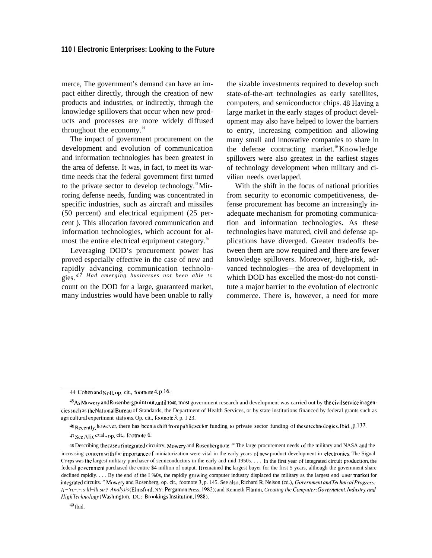merce, The government's demand can have an impact either directly, through the creation of new products and industries, or indirectly, through the knowledge spillovers that occur when new products and processes are more widely diffused throughout the economy.<sup>44</sup>

The impact of government procurement on the development and evolution of communication and information technologies has been greatest in the area of defense. It was, in fact, to meet its wartime needs that the federal government first turned to the private sector to develop technology.<sup> $45$ </sup>Mirroring defense needs, funding was concentrated in specific industries, such as aircraft and missiles (50 percent) and electrical equipment (25 percent ). This allocation favored communication and information technologies, which account for almost the entire electrical equipment category.%

Leveraging DOD's procurement power has proved especially effective in the case of new and rapidly advancing communication technologies. *47 Had emerging businesses not been able to* count on the DOD for a large, guaranteed market, many industries would have been unable to rally

the sizable investments required to develop such state-of-the-art technologies as early satellites, computers, and semiconductor chips. 48 Having a large market in the early stages of product development may also have helped to lower the barriers to entry, increasing competition and allowing many small and innovative companies to share in the defense contracting market.<sup>49</sup>Knowledge spillovers were also greatest in the earliest stages of technology development when military and civilian needs overlapped.

With the shift in the focus of national priorities from security to economic competitiveness, defense procurement has become an increasingly inadequate mechanism for promoting communication and information technologies. As these technologies have matured, civil and defense applications have diverged. Greater tradeoffs between them are now required and there are fewer knowledge spillovers. Moreover, high-risk, advanced technologies—the area of development in which DOD has excelled the most-do not constitute a major barrier to the evolution of electronic commerce. There is, however, a need for more

46 Recently, however, there has been a shift from public sector funding to private sector funding of these technologies. Ibid., p.137.

<sup>44</sup> Cohen and Noll, op. cit., footnote 4, p.16.

<sup>&</sup>lt;sup>45</sup>As Mowery and Rosenberg point out, until 1940, most government research and development was carried out by *the civil service* in agencies such as the National Bureau of Standards, the Department of Health Services, or by state institutions financed by federal grants such as agricultural experiment stations. Op. cit., footnote 3, p. I 23.

<sup>47</sup> See Alic et al., op. cit., footnote 6.

<sup>&</sup>lt;sup>48</sup> Describing the case of integrated circuitry, Mowery and Rosenberg note: "The large procurement needs of the military and NASA and the increasing concern with the importance of miniaturization were vital in the early years of new product development in electronics. The Signal Corps was the largest military purchaser of semiconductors in the early and mid  $1950s...$  In the first year of integrated circuit production, the federal government purchased the entire \$4 million of output. It remained the largest buyer for the first 5 years, although the government share declined rapidly. . . . By the end of the I %0s, the rapidly growing computer industry displaced the military as the largest end user market for integrated circuits. " Mowery and Rosenberg, op. cit., footnote 3, p. 145. See also, Richard R. Nelson (cd.), *Government and Technical Progress: A* ~'rc~,~.s-ltl~lli.sir? Analysis (Elmsford, NY: Pergamon Press, 1982); and Kenneth Flamm, *Creating the Computer: Government, Industry, and HighTechnology* (Washington, DC: Brookings Institution, 1988).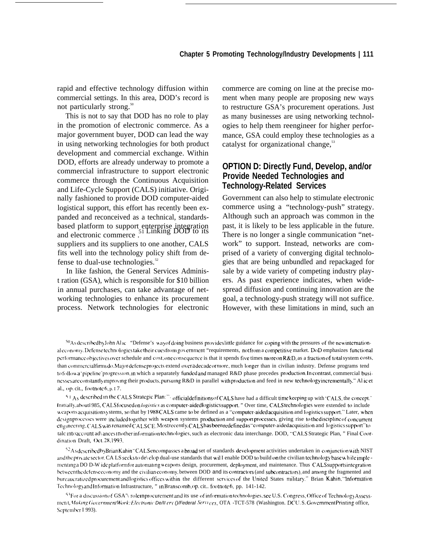rapid and effective technology diffusion within commercial settings. In this area, DOD's record is not particularly strong.<sup>50</sup>

This is not to say that DOD has no role to play in the promotion of electronic commerce. As a major government buyer, DOD can lead the way in using networking technologies for both product development and commercial exchange. Within DOD, efforts are already underway to promote a commercial infrastructure to support electronic commerce through the Continuous Acquisition and Life-Cycle Support (CALS) initiative. Originally fashioned to provide DOD computer-aided logistical support, this effort has recently been expanded and reconceived as a technical, standardsbased platform to support enterprise integration <sup>51</sup>Linking DOD to its and electronic commerce . suppliers and its suppliers to one another, CALS fits well into the technology policy shift from defense to dual-use technologies.<sup>52</sup>

In like fashion, the General Services Administ ration (GSA), which is responsible for \$10 billion in annual purchases, can take advantage of networking technologies to enhance its procurement process. Network technologies for electronic commerce are coming on line at the precise moment when many people are proposing new ways to restructure GSA's procurement operations. Just as many businesses are using networking technologies to help them reengineer for higher performance, GSA could employ these technologies as a catalyst for organizational change, $53$ 

#### **OPTION D: Directly Fund, Develop, and/or Provide Needed Technologies and Technology-Related Services**

Government can also help to stimulate electronic commerce using a "technology-push" strategy. Although such an approach was common in the past, it is likely to be less applicable in the future. There is no longer a single communication "network" to support. Instead, networks are comprised of a variety of converging digital technologies that are being unbundled and repackaged for sale by a wide variety of competing industry players. As past experience indicates, when widespread diffusion and continuing innovation are the goal, a technology-push strategy will not suffice. However, with these limitations in mind, such an

 $^{50}$ Asdescribed by John Al Ic "Defense's way of doing business provides little guidance for coping with the pressures of the new international economy. Defense technologies take their cues from government "requirements, not from a competitive market. DoD emphasizes functional performance objectives over schedule and cost; one consequence is that it spends five times more on R&D, as a fraction of total system costs, than commercialfirms do. Major defense projects extend over a decade or more, much longer than in civilian industry. Defense programs tend to followa' pipeline' progression, in which a separately funded and managed R&D phase precedes production. In contrast, commercial businesses are constantly improving their products, pursuing R&D in parallel with production and feed in new technology incrementally." Al ic et al., op. cit., footnote  $6$ , p. I  $7$ .

 $51 A<sub>S</sub>$  described in the CALS Strategic Plan:"  $\cdot$  official definitions of CALS have had a difficult time keeping up with 'CALS, the concept." Initially, about 1985, CALS focused on logistics as computer-aided logistics support." Over time, CALS technologies were extended to include w capons acquisition sy stems, so that by 1988 CALS came to be defined as a "computer-aided acquisition and logistics support." Later, when design processes were included together with weapon systems production and support processes, giving rise to the discipline of concurrent ~n ~1 ncerlng< ('A [2S ~ as r~narll~d CA [.S CE, Most *r~ccn[ly, ('ALS has been redefined as* '"conlpu[er-aided acqu Islt](m and l{)glstics suppwt" to talc into account ad\ ances in other information technologies, such as electronic data interchange. DOD, "CALS Strategic Plan, " Final Coordination Draft, Oct. 28, 1993.

 $^{52}$ As described by Brian Kahin "CALS encompasses a broad set of standards development activities undertaken in conjunction with NIST and the private sector. CA LS seeks to de\ clop dual-use standards that will enable DOD to build on the civilian technology base wh ile imple menting a DO D-W ideplatform for automating weapons design, procurement, deployment, and maintenance. Thus CALS supports integration between the defense economy and the civilian economy, between DOD and its contractors (and subcontractors), and among the fragmented and hureaucratized procurement and logistics offices within the different services of the United States military." Brian Kahin. "Information Technology and Information Infrastructure, " In Branscomb, op. cit.. footnote 6, pp. 141-142.

 ${}^{51}$ For a discussion of GSA'\ role in procurement and its use of information technologies, see U.S. Congress, Office of Technology Assessnient, Making GovernmentWork: Electronic De/II ery ()/Federal Services, OTA -TCT-578 (Washington. DC U.S. Government Printing office, September I 993).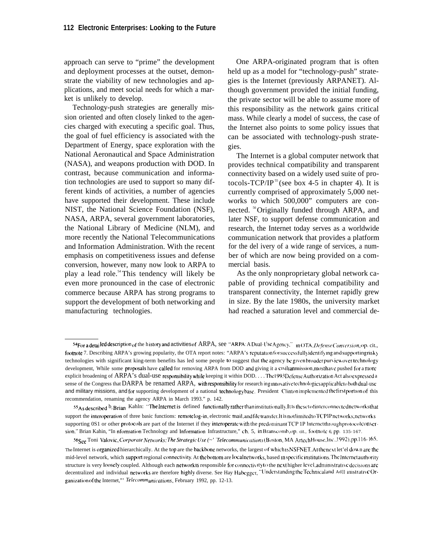approach can serve to "prime" the development and deployment processes at the outset, demonstrate the viability of new technologies and applications, and meet social needs for which a market is unlikely to develop.

Technology-push strategies are generally mission oriented and often closely linked to the agencies charged with executing a specific goal. Thus, the goal of fuel efficiency is associated with the Department of Energy, space exploration with the National Aeronautical and Space Administration (NASA), and weapons production with DOD. In contrast, because communication and information technologies are used to support so many different kinds of activities, a number of agencies have supported their development. These include NIST, the National Science Foundation (NSF), NASA, ARPA, several government laboratories, the National Library of Medicine (NLM), and more recently the National Telecommunications and Information Administration. With the recent emphasis on competitiveness issues and defense conversion, however, many now look to ARPA to play a lead role.<sup>54</sup>This tendency will likely be even more pronounced in the case of electronic commerce because ARPA has strong programs to support the development of both networking and manufacturing technologies.

One ARPA-originated program that is often held up as a model for "technology-push" strategies is the Internet (previously ARPANET). Although government provided the initial funding, the private sector will be able to assume more of this responsibility as the network gains critical mass. While clearly a model of success, the case of the Internet also points to some policy issues that can be associated with technology-push strategies.

The Internet is a global computer network that provides technical compatibility and transparent connectivity based on a widely used suite of protocols-TCP/IP<sup>55</sup> (see box 4-5 in chapter 4). It is currently comprised of approximately 5,000 networks to which 500,000" computers are connected. <sup>56</sup>Originally funded through ARPA, and later NSF, to support defense communication and research, the Internet today serves as a worldwide communication network that provides a platform for the del ivery of a wide range of services, a number of which are now being provided on a commercial basis.

As the only nonproprietary global network capable of providing technical compatibility and transparent connectivity, the Internet rapidly grew in size. By the late 1980s, the university market had reached a saturation level and commercial de-

 $54$ For a detailed description of the history and activities of ARPA, see "ARPA: A Dual-Use Agency," in ()TA, Defense Conversion, op. cit., footnote 7. Describing ARPA's growing popularity, the OTA report notes: "ARPA's reputation for successfully identifying and supporting risky technologies with significant king-term benefits has led some people to suggest that the agency be given broader purview over technology development, While some proposals have called for removing ARPA from DOD and giving it a civilianmission mosthave pushed for a more explicit broadening of ARPA's dual-use responsibility while keeping it within DOD. . . . The 1993Defense Authorization Act also expressed a sense of the Congress that DARPA be renamed ARPA, with responsibility for research ing innovative technologies applicable to both dual-use and military missions, and for supporting development of a national technology base. President Clinton implemented the first portion of this recommendation, renaming the agency ARPA in March 1993." p. 142.

<sup>55</sup>As described by Brian Kahln: "The Internet is defined functionally rather than institutionally, It Is the set of interconnected networks that support the interoperation of three basic functions: remotelog-in, electronic mail, and file transfer. It is not limited to TCP 1P networks, networks supporting 0S1 or other protocols are part of the Internet if they interoperate with the predominant TCP 1P Internetthrough protocolconversion," Brian Kahin, "In nformation Technology and Information Infrastructure," ch. 5, in Branscomb, op. cit., footnote 6, pp. 135-167.

<sup>56</sup>See Toni Valovic, Corporate Networks: The Strategic Use (~' Telecommunications (Boston, MA Artech House, Inc., 1992), pp. 116-165. The Internet is organized hierarchically. At the top are the backbone networks, the largest of which ISNSFNET. At the next let'el down are the mid-level network, which support regional connectivity. At the bottom are local networks, based in specific institutions. The Internet authority structure is very loosely coupled. Although each network is responsible for connectivity to the next higher level, administrative decisions are decentralized and individual networks are therefore highly diverse. See Hay Habegger, "Understanding the Technical and Ad]] inistrative Organization of the Internet," Telecommunications, February 1992, pp. 12-13.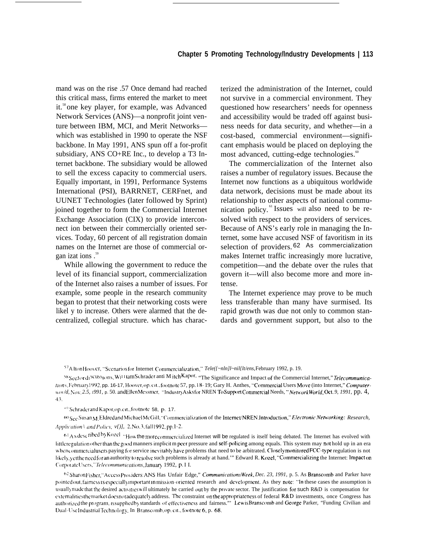mand was on the rise .57 Once demand had reached this critical mass, firms entered the market to meet it.<sup>58</sup> one key player, for example, was Advanced Network Services (ANS)—a nonprofit joint venture between IBM, MCI, and Merit Networks which was established in 1990 to operate the NSF backbone. In May 1991, ANS spun off a for-profit subsidiary, ANS CO+RE Inc., to develop a T3 Internet backbone. The subsidiary would be allowed to sell the excess capacity to commercial users. Equally important, in 1991, Performance Systems International (PSI), BARRNET, CERFnet, and UUNET Technologies (later followed by Sprint) joined together to form the Commercial Internet Exchange Association (CIX) to provide interconnect ion between their commercially oriented services. Today, 60 percent of all registration domain names on the Internet are those of commercial organ izat ions .<sup>59</sup>

While allowing the government to reduce the level of its financial support, commercialization of the Internet also raises a number of issues. For example, some people in the research community began to protest that their networking costs were likel y to increase. Others were alarmed that the decentralized, collegial structure. which has characterized the administration of the Internet, could not survive in a commercial environment. They questioned how researchers' needs for openness and accessibility would be traded off against business needs for data security, and whether—in a cost-based, commercial environment—significant emphasis would be placed on deploying the most advanced, cutting-edge technologies.<sup>60</sup>

The commercialization of the Internet also raises a number of regulatory issues. Because the Internet now functions as a ubiquitous worldwide data network, decisions must be made about its relationship to other aspects of national communication policy. $^{61}$ Issues will also need to be resolved with respect to the providers of services. Because of ANS's early role in managing the Internet, some have accused NSF of favoritism in its selection of providers. 62 As commercialization makes Internet traffic increasingly more lucrative, competition—and the debate over the rules that govern it—will also become more and more intense.

The Internet experience may prove to be much less transferable than many have surmised. Its rapid growth was due not only to common standards and government support, but also to the

<sup>57</sup>A Iton Hoover, "Scenarios for Internet Commercialization," *Tele({~nln]l~nil{lt/ens,* February 1992, p. 19.

58 Sector di<sup>scuss</sup>tons, Wi<sup>IIiam Schrader anti M itch Kapor, "The Significance and Impact of the Commercial Internet," *Telecommunica*-</sup> *//nons*, February1992, pp. 16-17, Hoover, op. cit., footnote 57, pp. 18- 19; Gary H. Anthes, "Commercial Users Move (into Internet," *Computer-Lto* /d, Nov. 2.5, 1991, p. 50. and Ellen Messmer, "Industry Asks for NREN To Support Commercial Needs, "Network World, Oct. 9, 1991, pp. 4, 47.

'<sup>0</sup> Schraderand Kapor, op. cit., footnote 58, p. 17.

~) see s~l~an Nf ~]drcd and Ml~h;i~] M~[;Il], '.CO1llrllcrcla]lzat]i)n of the lntcmet)NREN. lntr{xiucti(m," *E-/e[lronit"N eni"orking: Research,*  $$ 

 $61As$  described by K0zel "How the more commercialized Internet will be regulated is itself being debated. The Internet has evolved with little regulation other than the good manners implicit m peer pressure and self-policing among equals. This system may not hold up in an era when commercialusers paying for service inevitably have problems that need to be arbitrated. Closely monitored FCC-type regulation is not likely, yetthe need for an authority to resolve such problems is already at hand." Edward R. Kozel, "Commercializing the Internet: Impact on CorporateUsers,"Telecommunications, January 1992, p. I I.

62 Sharon Fisher, "Access Providers: ANS Has Unfair Edge," *CommunicationsWeek, Dec. 23, 1991, p. 5. As Branscomb and Parker have* pointed out, fairness is especially important in mission-oriented research and development. As they note: "In these cases the assumption is usuallymade that the desired activities will ultimately he carried out by the private sector. The justification for such R&D is compensation for externalities the market does not adequately address. The constraint on the appropriateness of federal R&D investments, once Congress has authorized the program, is supplied by standards of effectiveness and fairness." Lewis Branscomb and George Parker, "Funding Civilian and Dual-Use Industrial Technology, In Branscomb, op. cit., footnote 6, p. 68.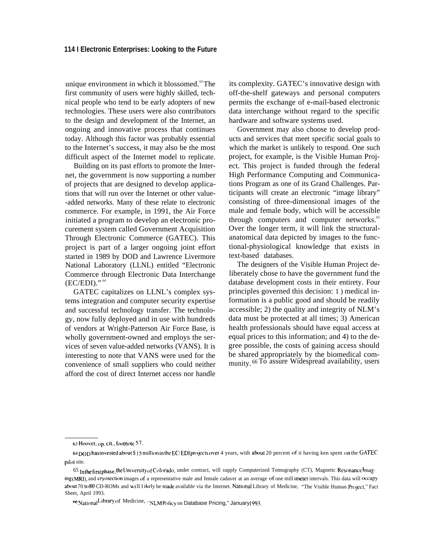unique environment in which it blossomed.<sup>63</sup>The first community of users were highly skilled, technical people who tend to be early adopters of new technologies. These users were also contributors to the design and development of the Internet, an ongoing and innovative process that continues today. Although this factor was probably essential to the Internet's success, it may also be the most difficult aspect of the Internet model to replicate.

Building on its past efforts to promote the Internet, the government is now supporting a number of projects that are designed to develop applications that will run over the Internet or other value- -added networks. Many of these relate to electronic commerce. For example, in 1991, the Air Force initiated a program to develop an electronic procurement system called Government Acquisition Through Electronic Commerce (GATEC). This project is part of a larger ongoing joint effort started in 1989 by DOD and Lawrence Livermore National Laboratory (LLNL) entitled "Electronic Commerce through Electronic Data Interchange (EC/EDI)." <sup>64</sup>

GATEC capitalizes on LLNL's complex systems integration and computer security expertise and successful technology transfer. The technology, now fully deployed and in use with hundreds of vendors at Wright-Patterson Air Force Base, is wholly government-owned and employs the services of seven value-added networks (VANS). It is interesting to note that VANS were used for the convenience of small suppliers who could neither afford the cost of direct Internet access nor handle

its complexity. GATEC's innovative design with off-the-shelf gateways and personal computers permits the exchange of e-mail-based electronic data interchange without regard to the specific hardware and software systems used.

Government may also choose to develop products and services that meet specific social goals to which the market is unlikely to respond. One such project, for example, is the Visible Human Project. This project is funded through the federal High Performance Computing and Communications Program as one of its Grand Challenges. Participants will create an electronic "image library" consisting of three-dimensional images of the male and female body, which will be accessible through computers and computer networks.<sup>65</sup> Over the longer term, it will link the structuralanatomical data depicted by images to the functional-physiological knowledge that exists in text-based databases.

The designers of the Visible Human Project deliberately chose to have the government fund the database development costs in their entirety. Four principles governed this decision: 1 ) medical information is a public good and should be readily accessible; 2) the quality and integrity of NLM's data must be protected at all times; 3) American health professionals should have equal access at equal prices to this information; and 4) to the degree possible, the costs of gaining access should be shared appropriately by the biomedical community. <sup>66</sup> To assure Widespread availability, users

 $63$  Hoover, op. cit., footnote 57.

<sup>64</sup> DOD has invested about \$15 million in the EC/EDI projects over 4 years, with about 20 percent of it having ken spent on the GATEC pilot site.

<sup>65</sup> Inthe first phase, the University of Colorado, under contract, will supply Computerized Tomography (CT), Magnetic Resonance I maging (MRI), and cryosection images of a representative male and female cadaver at an average of one mill imeter intervals. This data will occupy about 70 to 80 CD-ROMs and will I ikely be made available via the Internet. National Library of Medicine, "The Visible Human Project," Fact Sheet, April 1993.

<sup>66</sup> National Library of Medicine, "NLM Policy on Database Pricing," January 1993.